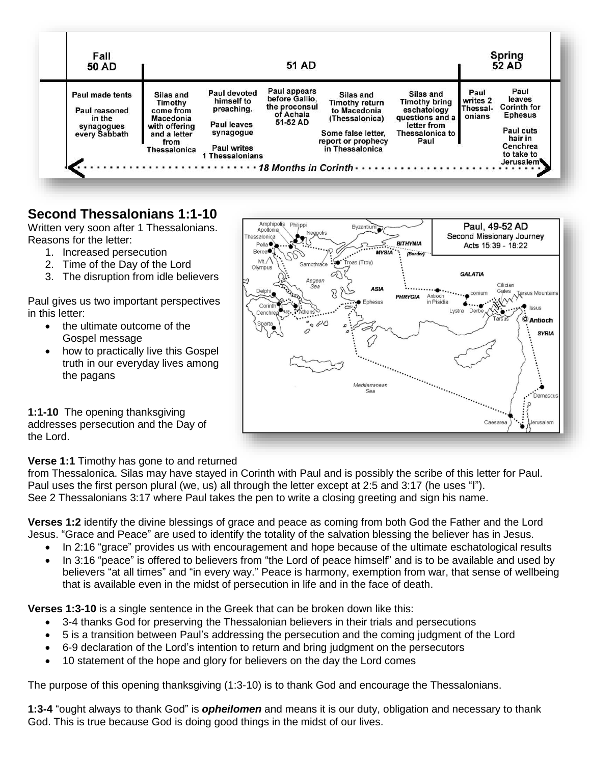

Philippi

Amphipolis

## **Second Thessalonians 1:1-10**

Written very soon after 1 Thessalonians. Reasons for the letter:

- 1. Increased persecution
- 2. Time of the Day of the Lord
- 3. The disruption from idle believers

Paul gives us two important perspectives in this letter:

- the ultimate outcome of the Gospel message
- how to practically live this Gospel truth in our everyday lives among the pagans

Paul, 49-52 AD Apollonia Neapoli: ssalonica Second Missionary Journey <u>يږ</u> **RITHVNIA** Pella<sup>®</sup> Acts 15:39 - 18:22 **Berea● MYSIA** 7 レ  $ML/\lambda$ roas (Troy) Samothr Olympus **GALATIA** W Aegean Cilician<br>
Gates<br>
Ally Arsus Mountains<br>
Ally Carsus<br>
Carsus<br>
Cantinch **ASIA** Conium Antioch<br>in Pisidia PHRYGIA Enhoque  $\bullet$  ....... Corinti Lystra Derbe Cenchre **O** Antioch **SYRIA** Υ Mediterranean è Sea Damascu Ω Caesar erusalem ä

Byzantiun

**1:1-10** The opening thanksgiving addresses persecution and the Day of the Lord.

## **Verse 1:1** Timothy has gone to and returned

from Thessalonica. Silas may have stayed in Corinth with Paul and is possibly the scribe of this letter for Paul. Paul uses the first person plural (we, us) all through the letter except at 2:5 and 3:17 (he uses "I"). See 2 Thessalonians 3:17 where Paul takes the pen to write a closing greeting and sign his name.

**Verses 1:2** identify the divine blessings of grace and peace as coming from both God the Father and the Lord Jesus. "Grace and Peace" are used to identify the totality of the salvation blessing the believer has in Jesus.

- In 2:16 "grace" provides us with encouragement and hope because of the ultimate eschatological results
- In 3:16 "peace" is offered to believers from "the Lord of peace himself" and is to be available and used by believers "at all times" and "in every way." Peace is harmony, exemption from war, that sense of wellbeing that is available even in the midst of persecution in life and in the face of death.

**Verses 1:3-10** is a single sentence in the Greek that can be broken down like this:

- 3-4 thanks God for preserving the Thessalonian believers in their trials and persecutions
- 5 is a transition between Paul's addressing the persecution and the coming judgment of the Lord
- 6-9 declaration of the Lord's intention to return and bring judgment on the persecutors
- 10 statement of the hope and glory for believers on the day the Lord comes

The purpose of this opening thanksgiving (1:3-10) is to thank God and encourage the Thessalonians.

**1:3-4** "ought always to thank God" is *opheilomen* and means it is our duty, obligation and necessary to thank God. This is true because God is doing good things in the midst of our lives.